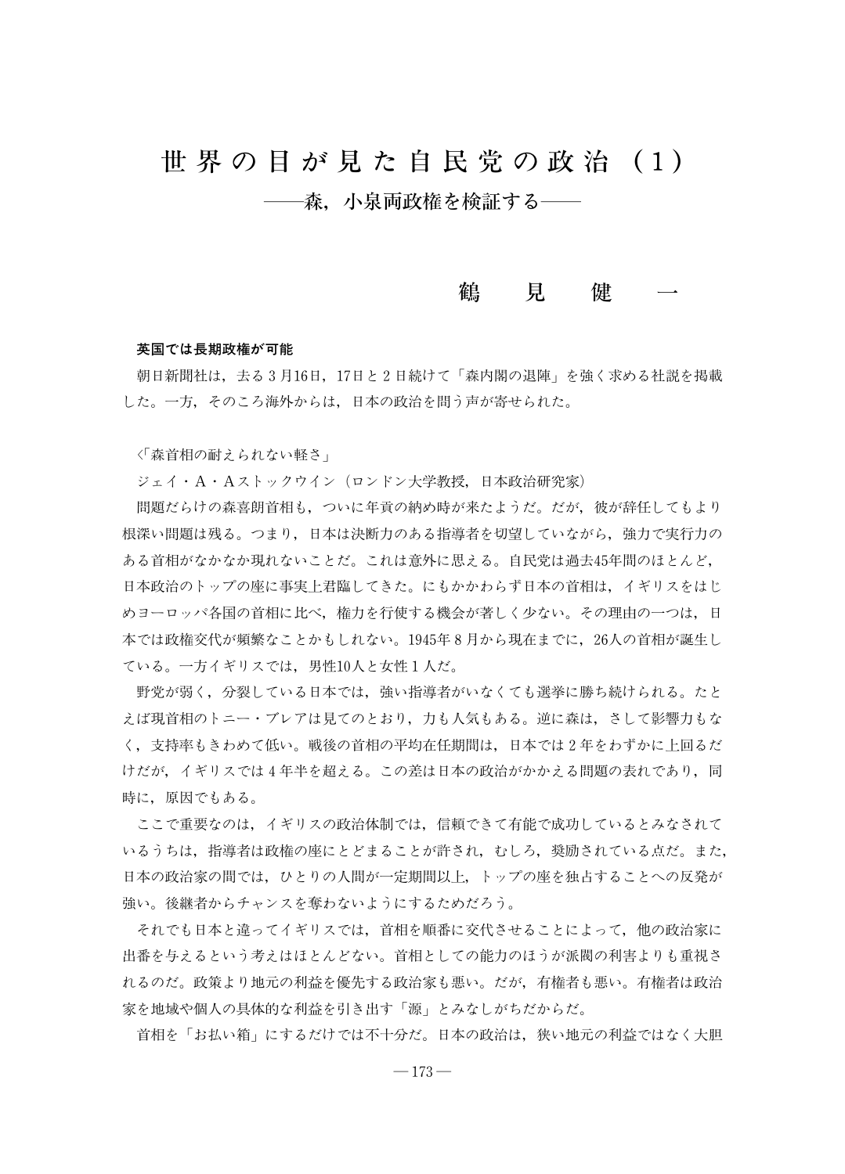# 世 界 の 目 が 見 た 自 民 党 の 政 治 (1) −森.小泉両政権を検証する−

# 鶴 見 健

### 英国では長期政権が可能

朝日新聞社は、去る3月16日,17日と2日続けて「森内閣の退陣」を強く求める社説を掲載 した。一方,そのころ海外からは,日本の政治を問う声が寄せられた。

く「森首相の耐えられない軽さ」

ジェイ・A・Aストックウイン(ロンドン大学教授,日本政治研究家)

問題だらけの森喜朗首相も,ついに年貢の納め時が来たようだ。だが,彼が辞任してもより 根深い問題は残る。つまり、日本は決断力のある指導者を切望していながら、強力で実行力の ある首相がなかなか現れないことだ。これは意外に思える。自民党は過去45年間のほとんど, 日本政治のトップの座に事実上君臨してきた。にもかかわらず日本の首相は,イギリスをはじ めヨーロッパ各国の首相に比べ、権力を行使する機会が著しく少ない。その理由の一つは、日 本では政権交代が頻繁なことかもしれない。1945年8月から現在までに,26人の首相が誕生し ている。一方イギリスでは,男性10人と女性1人だ。

野党が弱く,分裂している日本では,強い指導者がいなくても選挙に勝ち続けられる。たと えば現首相のトニー・ブレアは見てのとおり,力も人気もある。逆に森は,さして影響力もな く,支持率もきわめて低い。戦後の首相の平쬣在任期間は,日本では2年をわずかに上回るだ けだが,イギリスでは4年半を超える。この差は日本の政治がかかえる問題の表れであり,同 時に,原因でもある。

ここで重要なのは,イギリスの政治体制では,信頼できて有能で成功しているとみなされて いるうちは,指導者は政権の座にとどまることが許され,むしろ,奨励されている点だ。また, 日本の政治家の間では,ひとりの人間が一定期間以上,トップの座を独占することへの反発が 強い。後継者からチャンスを奪わないようにするためだろう。

それでも日本と違ってイギリスでは、首相を順番に交代させることによって、他の政治家に 出番を与えるという쬠えはほとんどない。首相としての能力のほうが派閥の利害よりも重視さ れるのだ。政策より地元の利益を優先する政治家も悪い。だが,有権者も悪い。有権者は政治 家を地域や個人の具体的な利益を引き出す「源」とみなしがちだからだ。

首相を「お払い箱」にするだけでは不十分だ。日本の政治は,狭い地元の利益ではなく大胆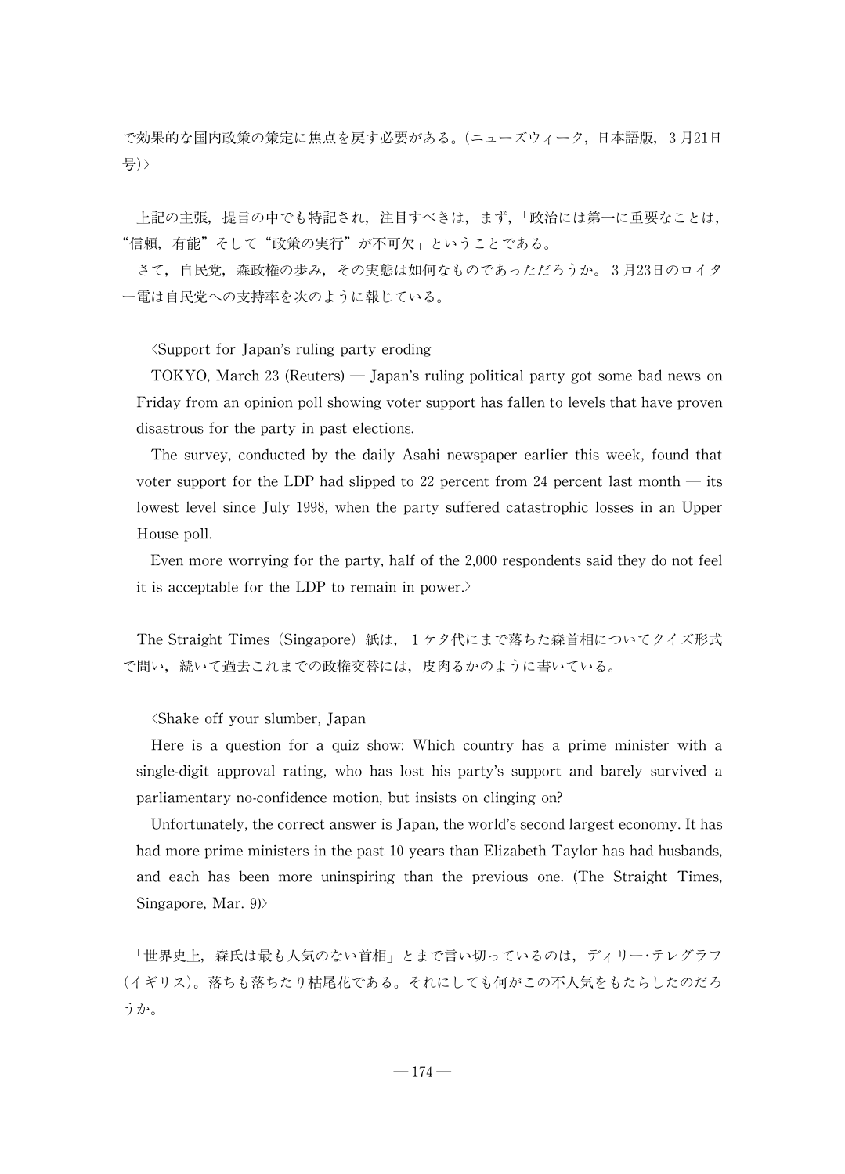で効果的な国内政策の策定に焦点を戻す必要がある。(ニューズウィーク,日本語版,3月21日 号)>

上記の主張,提言の中でも特記され,注目すべきは、まず、「政治には第一に重要なことは, "信頼,有能"そして"政策の実行"が不可欠」ということである。

さて,自民党,森政権の歩み,その実態は如何なものであっただろうか。3月23日のロイタ ー電は自民党への支持率を次のように報じている。

씗Support for Japan's ruling party eroding

TOKYO, March 23 (Reuters)  $-$  Japan's ruling political party got some bad news on Friday from an opinion poll showing voter support has fallen to levels that have proven disastrous for the party in past elections.

The survey, conducted by the daily Asahi newspaper earlier this week, found that voter support for the LDP had slipped to 22 percent from 24 percent last month  $-$  its lowest level since July 1998, when the party suffered catastrophic losses in an Upper House poll.

Even more worrying for the party, half of the 2,000 respondents said they do not feel it is acceptable for the LDP to remain in power.>

The Straight Times (Singapore)紙は、1ケタ代にまで落ちた森首相についてクイズ形式 で問い,続いて過去これまでの政権交替には,皮肉るかのように書いている。

씗Shake off your slumber,Japan

Here is a question for a quiz show: Which country has a prime minister with a single-digit approval rating, who has lost his party's support and barely survived a parliamentary no-confidence motion, but insists on clinging on?

Unfortunately, the correct answer is Japan, the world's second largest economy. It has had more prime ministers in the past 10 years than Elizabeth Taylor has had husbands, and each has been more uninspiring than the previous one. (The Straight Times, Singapore, Mar.  $9$ 

「世界史上,森氏は最も人気のない首相」とまで言い切っているのは、ディリー・テレグラフ (イギリス)。落ちも落ちたり枯尾花である。それにしても何がこの不人気をもたらしたのだろ うか。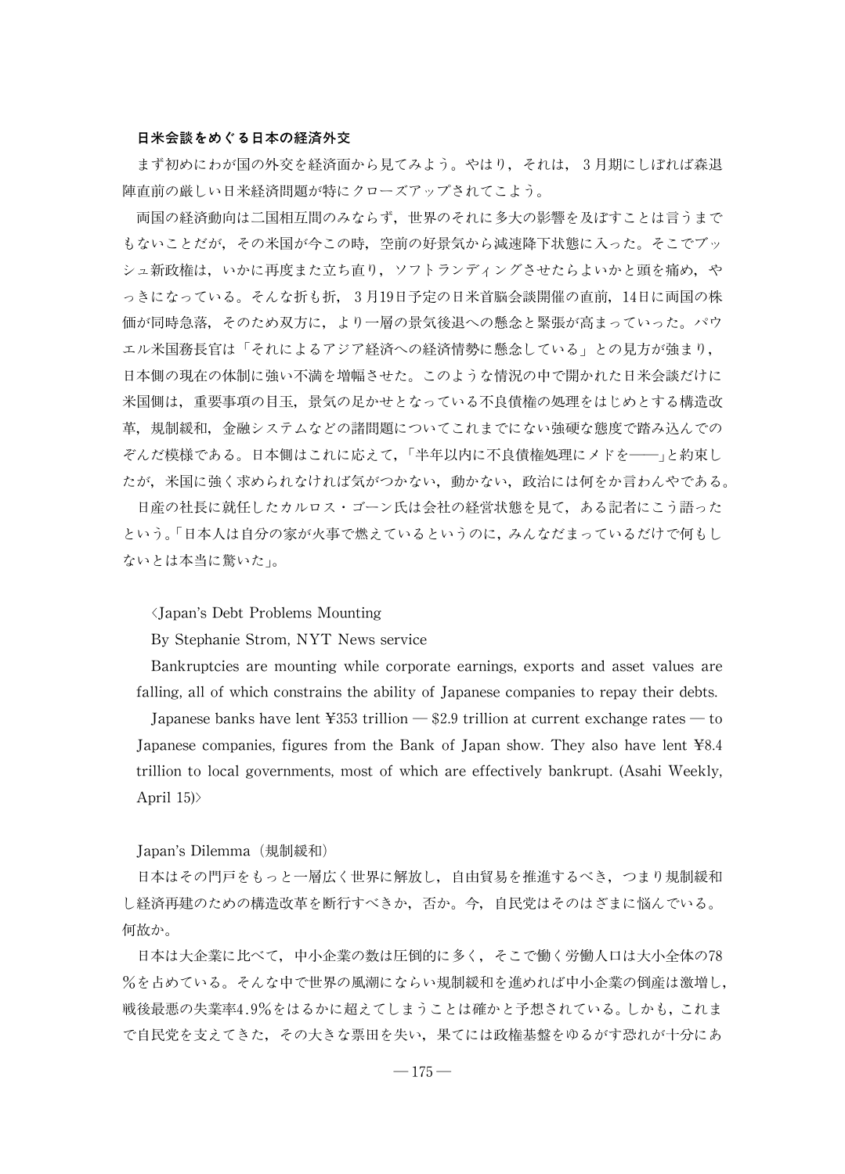# 日米会談をめぐる日本の経済外交

まず初めにわが国の外交を経済面から見てみよう。やはり,それは,3月期にしぼれば森退 陣直前の厳しい日米経済問題が特にクローズアップされてこよう。

両国の経済動向は二国相互間のみならず,世界のそれに多大の影響を及ぼすことは言うまで もないことだが,その米国が今この時,空前の好景気から減速降下状態に入った。そこでブッ シュ新政権は,いかに再度また立ち直り,ソフトランディングさせたらよいかと頭を痛め,や っきになっている。そんな折も折,3月19日予定の日米首脳会談開催の直前,14日に両国の株 価が同時急落,そのため双方に,より一層の景気後退への懸念と緊張が高まっていった。パウ エル米国務長官は「それによるアジア経済への経済情勢に懸念している」との見方が強まり, 日本側の現在の体制に強い不満を増幅させた。このような情況の中で開かれた日米会談だけに 米国側は,重要事項の目玉,景気の足かせとなっている不良債権の処理をはじめとする構造改 革,規制緩和,金融システムなどの諸問題についてこれまでにない強硬な態度で踏み込んでの ぞんだ模様である。日本側はこれに応えて、「半年以内に不良債権処理にメドを–––」と約束し たが,米国に強く求められなければ気がつかない,動かない,政治には何をか言わんやである。

日産の社長に就任したカルロス・ゴーン氏は会社の経営状態を見て、ある記者にこう語った という。씔日本人は自分の家が火事で燃えているというのに,みんなだまっているだけで何もし ないとは本当に驚いた」。

씗Japan's Debt Problems Mounting

By Stephanie Strom, NYT News service

Bankruptcies are mounting while corporate earnings, exports and asset values are falling, all of which constrains the ability of Japanese companies to repay their debts.

Japanese banks have lent  $\frac{1}{2}$   $\frac{1}{2}$   $\frac{1}{2}$   $\frac{1}{2}$   $\frac{1}{2}$   $\frac{1}{2}$   $\frac{1}{2}$   $\frac{1}{2}$   $\frac{1}{2}$   $\frac{1}{2}$   $\frac{1}{2}$   $\frac{1}{2}$   $\frac{1}{2}$   $\frac{1}{2}$   $\frac{1}{2}$   $\frac{1}{2}$   $\frac{1}{2}$   $\frac{1}{2}$   $\frac{1}{2}$   $\frac{1}{$ Japanese companies, figures from the Bank of Japan show. They also have lent ¥8.4 trillion to local governments, most of which are effectively bankrupt. (Asahi Weekly, April 15)>

Japan's Dilemma(規制緩和)

日本はその門戸をもっと一層広く世界に解放し,自由貿易を推進するべき,つまり規制緩和 し経済再建のための構造改革を断行すべきか,否か。今,自民党はそのはざまに悩んでいる。 何故か。

日本は大企業に比べて,中小企業の数は圧倒的に多く,そこで働く労働人口は大小全体の78 %を占めている。そんな中で世界の風潮にならい規制緩和を進めれば中小企業の倒産は激増し, 戦後最悪の失業率4.9%をはるかに超えてしまうことは確かと予想されている。しかも,これま で自民党を支えてきた,その大きな票田を失い,果てには政権基盤をゆるがす恐れが十分にあ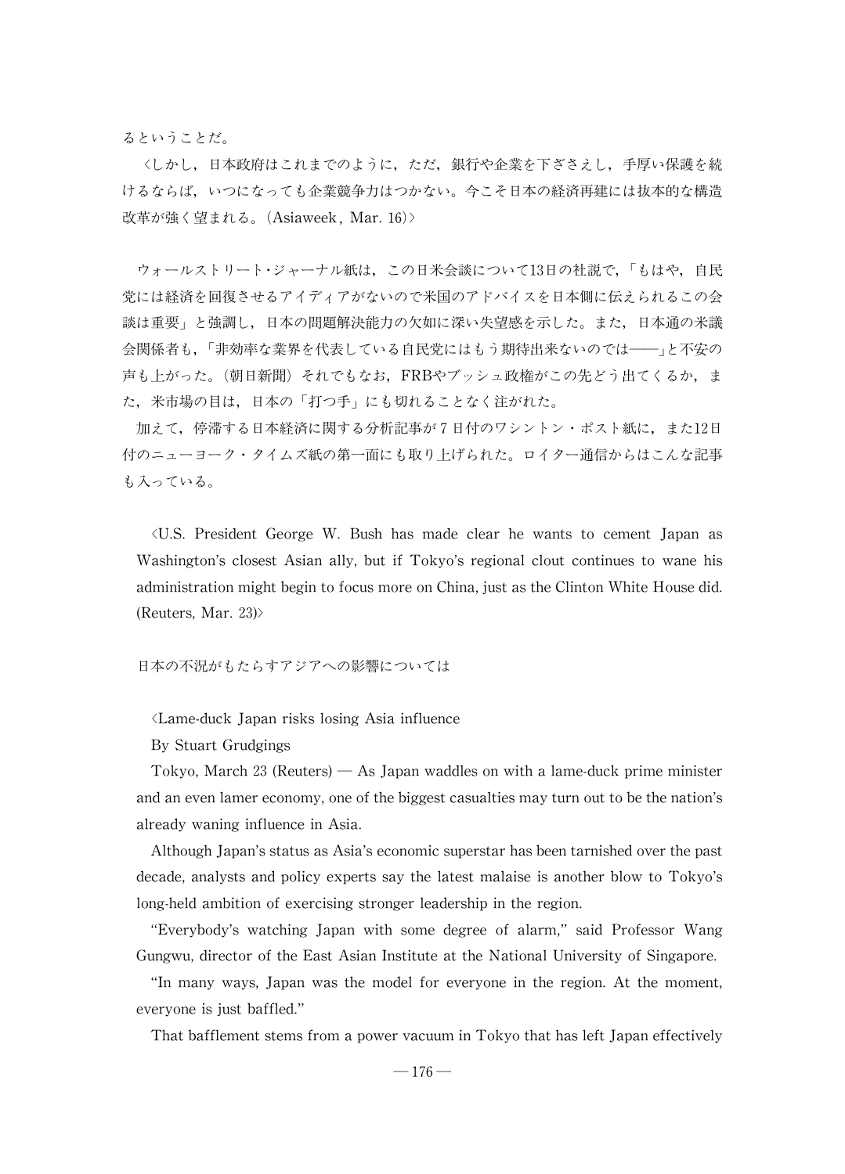るということだ。

씗しかし,日本政府はこれまでのように,ただ,銀行や企業を下ざさえし,手厚い保護を続 けるならば,いつになっても企業競争力はつかない。今こそ日本の経済再建には抜本的な構造 改革が強く望まれる。(Asiaweek, Mar. 16)>

ウォールストリート・ジャーナル紙は、この日米会談について13日の社説で、「もはや、自民 党には経済を回復させるアイディアがないので米国のアドバイスを日本側に伝えられるこの会 談は重要씕と強調し,日本の問題解決能力の欠如に深い失望感を示した。また,日本通の米議 会関係者も,「非効率な業界を代表している自民党にはもう期待出来ないのでは–––」と不安の 声も上がった。(朝日新聞) それでもなお、FRBやブッシュ政権がこの先どう出てくるか,ま た、米市場の目は、日本の「打つ手」にも切れることなく注がれた。

加えて,停滞する日本経済に関する分析記事が7日付のワシントン・ポスト紙に,また12日 付のニューヨーク・タイムズ紙の第一面にも取り上げられた。ロイター通信からはこんな記事 も入っている。

씗U.S. President George W. Bush has made clear he wants to cement Japan as Washington's closest Asian ally, but if Tokyo's regional clout continues to wane his administration might begin to focus more on China, just as the Clinton White House did. (Reuters, Mar. 23) $>$ 

# 日本の不況がもたらすアジアへの影響については

씗Lame-duck Japan risks losing Asia influence

By Stuart Grudgings

Tokyo, March 23 (Reuters)  $-$  As Japan waddles on with a lame-duck prime minister and an even lamer economy, one of the biggest casualties may turn out to be the nation's alreadywaning influence in Asia.

Although Japan's status as Asia's economic superstar has been tarnished over the past decade, analysts and policy experts say the latest malaise is another blow to Tokyo's long-held ambition of exercising stronger leadership in the region.

"Everybody's watching Japan with some degree of alarm,"said Professor Wang Gungwu, director of the East Asian Institute at the National University of Singapore.

"In many ways, Japan was the model for everyone in the region. At the moment, everyone is just baffled."

That bafflement stems from a power vacuum in Tokyo that has left Japan effectively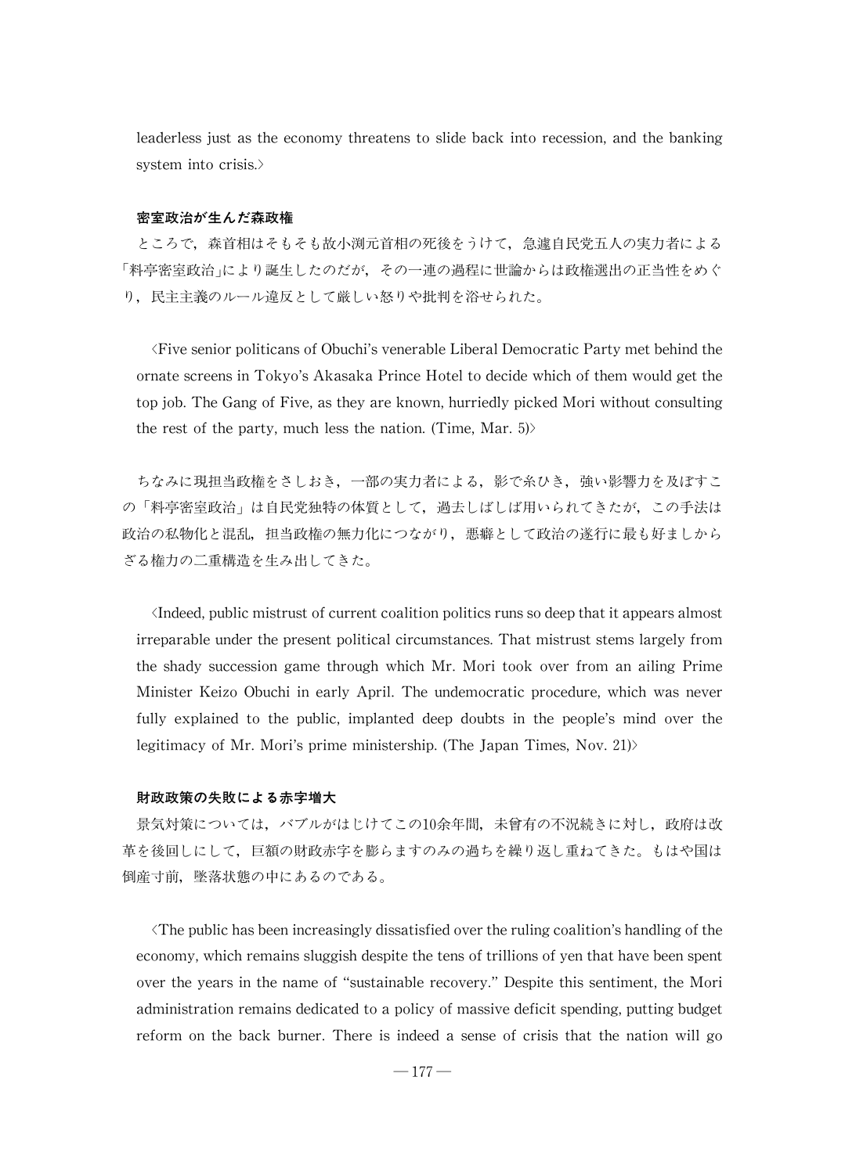leaderless just as the economy threatens to slide back into recession, and the banking system into crisis.>

## 密室政治が生んだ森政権

ところで,森首相はそもそも故小渕元首相の死後をうけて,急遽自民党五人の実力者による 「料亭密室政治」により誕生したのだが、その一連の過程に世論からは政権選出の正当性をめぐ り,民主主義のルール違反として厳しい怒りや批判を浴せられた。

씗FiveseniorpoliticansofObuchi'svenerableLiberalDemocraticPartymet behind the ornate screens in Tokyo's Akasaka Prince Hotel to decide which of them would get the top job. The Gang of Five, as they are known, hurriedly picked Mori without consulting the rest of the party, much less the nation. (Time, Mar. 5) $>$ 

ちなみに現担当政権をさしおき、一部の実力者による、影で糸ひき、強い影響力を及ぼすこ の「料亭密室政治」は自民党独特の体質として、過去しばしば用いられてきたが、この手法は 政治の私物化と混乱,担当政権の無力化につながり、悪癖として政治の遂行に最も好ましから ざる権力の二重構造を生み出してきた。

Indeed, public mistrust of current coalition politics runs so deep that it appears almost irreparable under the present political circumstances. That mistrust stems largely from the shady succession game through which Mr. Mori took over from an ailing Prime Minister Keizo Obuchi in early April. The undemocratic procedure, which was never fully explained to the public, implanted deep doubts in the people's mind over the legitimacy of Mr. Mori's prime ministership. (The Japan Times, Nov. 21) $>$ 

### 財政政策の失敗による赤字増大

景気対策については、バブルがはじけてこの10余年間、未曾有の不況続きに対し、政府は改 革を後回しにして,巨額の財政赤字を膨らますのみの過ちを繰り返し重ねてきた。もはや国は 倒産寸前,墜落状態の中にあるのである。

 $\langle$ The public has been increasingly dissatisfied over the ruling coalition's handling of the economy, which remains sluggish despite the tens of trillions of yen that have been spent over the years in the name of "sustainable recovery."Despite this sentiment, the Mori administration remains dedicated to a policy of massive deficit spending, putting budget reform on the back burner. There is indeed a sense of crisis that the nation will go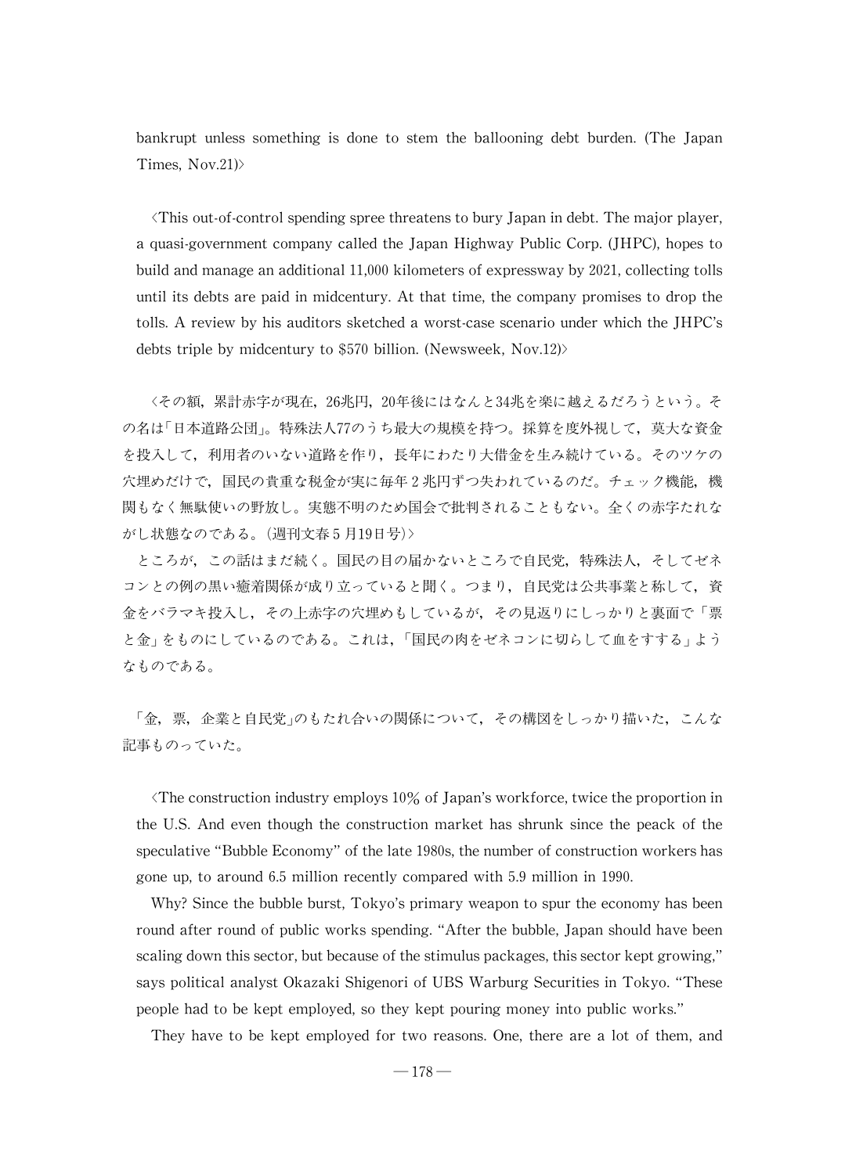bankrupt unless something is done to stem the ballooning debt burden. (The Japan Times,  $Nov.21$ )

 $\forall$ This out-of-control spending spree threatens to bury Japan in debt. The major player, a quasi-government company called the Japan Highway Public Corp. (JHPC), hopes to build and manage an additional 11,000 kilometers of expressway by 2021, collecting tolls until its debts are paid in midcentury.At that time, the company promises to drop the tolls.A review by his auditors sketched a worst-case scenario under which the JHPC's debts triple by midcentury to \$570 billion. (Newsweek, Nov.12)>

씗その額,累計赤字が現在,26兆円,20年後にはなんと34兆を楽に越えるだろうという。そ の名は「日本道路公団」。特殊法人77のうち最大の規模を持つ。採算を度外視して、莫大な資金 を投入して,利用者のいない道路を作り,長年にわたり大借金を生み続けている。そのツケの 穴埋めだけで,国民の貴重な税金が実に毎年2兆円ずつ失われているのだ。チェック機能,機 関もなく無駄使いの野放し。実態不明のため国会で批判されることもない。全くの赤字たれな がし状態なのである。(週刊文春5月19日号)>

ところが,この話はまだ続く。国民の目の届かないところで自民党,特殊法人,そしてゼネ コンとの例の黒い癒着関係が成り立っていると聞く。つまり,自民党は公共事業と称して,資 金をバラマキ投入し、その上赤字の穴埋めもしているが、その見返りにしっかりと裏面で「票 と金」をものにしているのである。これは、「国民の肉をゼネコンに切らして血をすする」よう なものである。

「金,票,企業と自民党」のもたれ合いの関係について、その構図をしっかり描いた、こんな 記事ものっていた。

The construction industry employs  $10\%$  of Japan's workforce, twice the proportion in the U.S. And even though the construction market has shrunk since the peack of the speculative "Bubble Economy" of the late 1980s, the number of construction workers has gone up, to around 6.5 million recently compared with 5.9 million in 1990.

Why? Since the bubble burst, Tokyo's primary weapon to spur the economy has been round after round of public works spending. "After the bubble, Japan should have been scaling down this sector, but because of the stimulus packages, this sector kept growing," says political analyst Okazaki Shigenori of UBS Warburg Securities in Tokyo."These people had to be kept employed, so they kept pouring money into public works."

They have to be kept employed for two reasons. One, there are a lot of them, and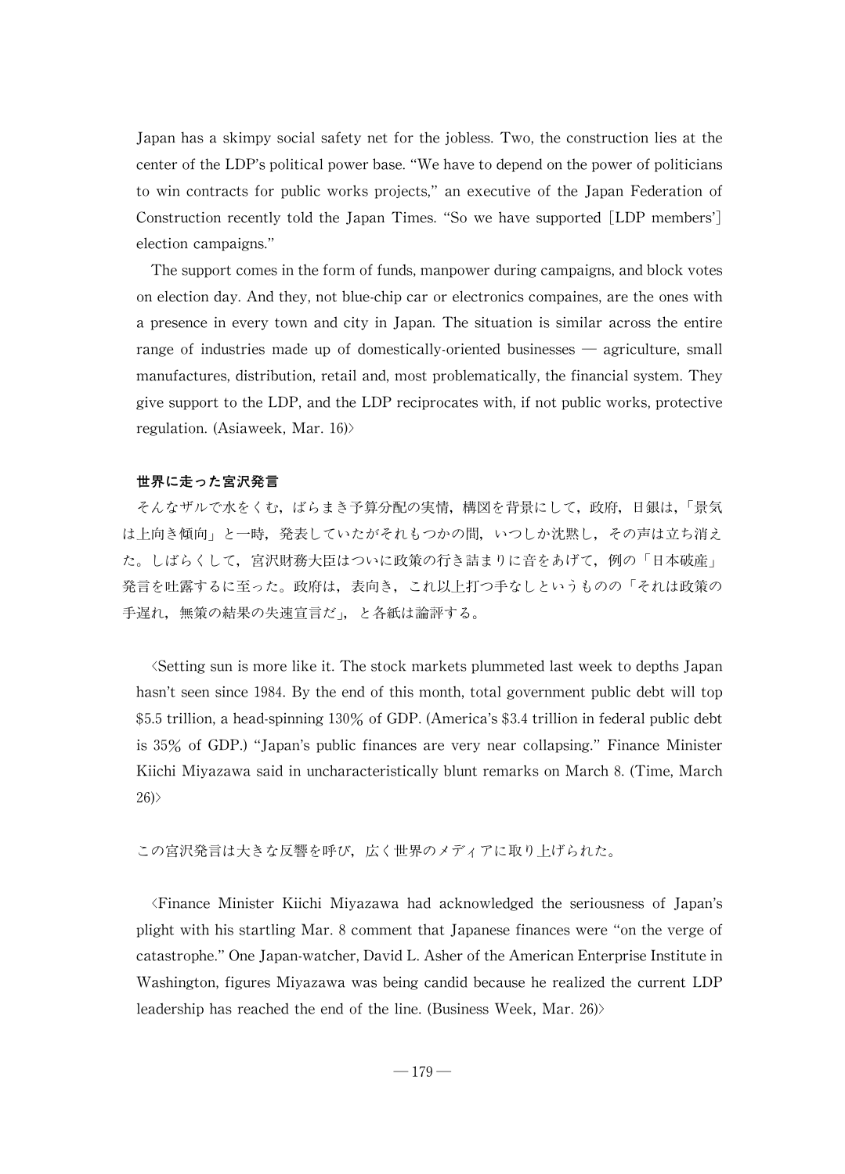Japan has a skimpy social safety net for the jobless. Two, the construction lies at the center of the LDP's political power base. "We have to depend on the power of politicians to win contracts for public works projects,"an executive of the Japan Federation of Construction recently told the Japan Times. "So we have supported [LDP members'] election campaigns."

The support comes in the form of funds, manpower during campaigns, and block votes on election day. And they, not blue-chip car or electronics compaines, are the ones with a presence in every town and city in Japan. The situation is similar across the entire range of industries made up of domestically-oriented businesses — agriculture, small manufactures, distribution, retail and, most problematically, the financial system. They give support to the LDP, and the LDP reciprocates with, if not public works, protective regulation. (Asiaweek, Mar.  $16$ )

# 世界に走った宮沢発言

そんなザルで水をくむ、ばらまき予算分配の実情,構図を背景にして、政府,日銀は,「景気 は上向き傾向」と一時、発表していたがそれもつかの間、いつしか沈黙し、その声は立ち消え た。しばらくして、宮沢財務大臣はついに政策の行き詰まりに音をあげて、例の「日本破産」 発言を吐露するに至った。政府は、表向き、これ以上打つ手なしというものの「それは政策の 手遅れ、無策の結果の失速宣言だ」、と各紙は論評する。

씗Setting sun is morelikeit.Thestock markets plummeted last week to depths Japan hasn't seen since 1984. By the end of this month, total government public debt will top \$5.5 trillion, a head-spinning 130% of GDP. (America's \$3.4 trillion in federal public debt is 35% of GDP.)"Japan's public finances are very near collapsing."Finance Minister Kiichi Miyazawa said in uncharacteristically blunt remarks on March 8. (Time, March  $26$ )

この宮沢発言は大きな反響を呼び,広く世界のメディアに取り上げられた。

씗Finance Minister Kiichi Miyazawa had acknowledged the seriousness of Japan's plight with his startling Mar.8 comment that Japanese finances were "on the verge of catastrophe." One Japan-watcher, David L. Asher of the American Enterprise Institute in Washington, figures Miyazawa was being candid because he realized the current LDP leadership has reached the end of the line. (Business Week, Mar. 26) $>$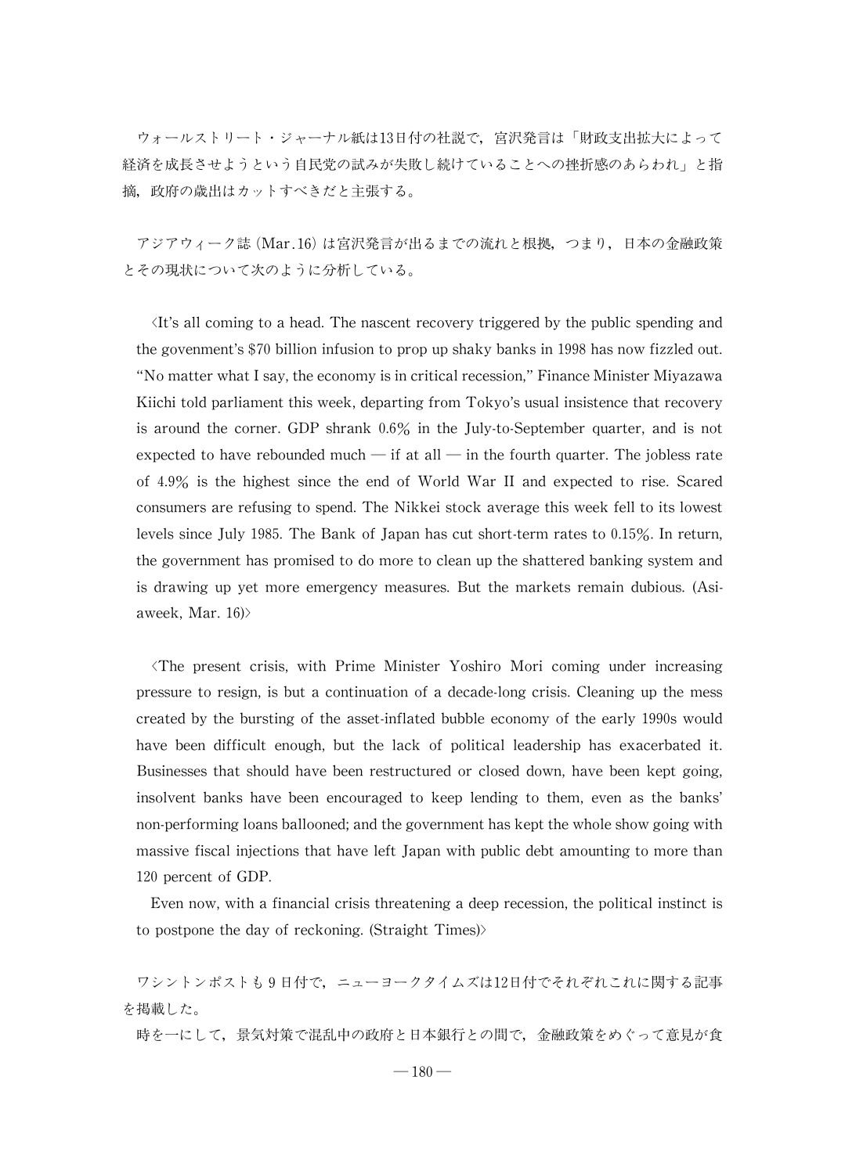ウォールストリート・ジャーナル紙は13日付の社説で、宮沢発言は「財政支出拡大によって 経済を成長させようという自民党の試みが失敗し続けていることへの挫折感のあらわれ」と指 摘,政府の歳出はカットすべきだと主張する。

アジアウィーク誌(Mar.16)は宮沢発言が出るまでの流れと根拠,つまり,日本の金融政策 とその現状について次のように分析している。

 $\forall$ It's all coming to a head. The nascent recovery triggered by the public spending and the govenment's \$70 billion infusion to prop up shaky banks in 1998 has now fizzled out. "No matter what I say, the economy is in critical recession," Finance Minister Miyazawa Kiichi told parliament this week, departing from Tokyo's usual insistence that recovery is around the corner. GDP shrank 0.6% in the July-to-September quarter, and is not expected to have rebounded much  $-$  if at all  $-$  in the fourth quarter. The jobless rate of 4.9% is the highest since the end of World War II and expected to rise. Scared consumers are refusing to spend.The Nikkei stock average this week fell to its lowest levels since July 1985. The Bank of Japan has cut short-term rates to 0.15%. In return, the government has promised to do more to clean up the shattered banking system and is drawing up yet more emergency measures. But the markets remain dubious. (Asiaweek, Mar.  $16$ )>

씗The present crisis, with Prime Minister Yoshiro Mori coming under increasing pressure to resign, is but a continuation of a decade-long crisis. Cleaning up the mess created by the bursting of the asset-inflated bubble economy of the early 1990s would have been difficult enough, but the lack of political leadership has exacerbated it. Businesses that should have been restructured or closed down, have been kept going, insolvent banks have been encouraged to keep lending to them, even as the banks' non-performing loans ballooned; and the government has kept the whole show going with massive fiscal injections that have left Japan with public debt amounting to more than 120 percent of GDP.

Even now, with a financial crisis threatening a deep recession, the political instinct is to postpone the day of reckoning.(Straight Times)>

ワシントンポストも9日付で,ニューヨークタイムズは12日付でそれぞれこれに関する記事 を掲載した。

時を一にして,景気対策で混乱中の政府と日本銀行との間で,金融政策をめぐって意見が食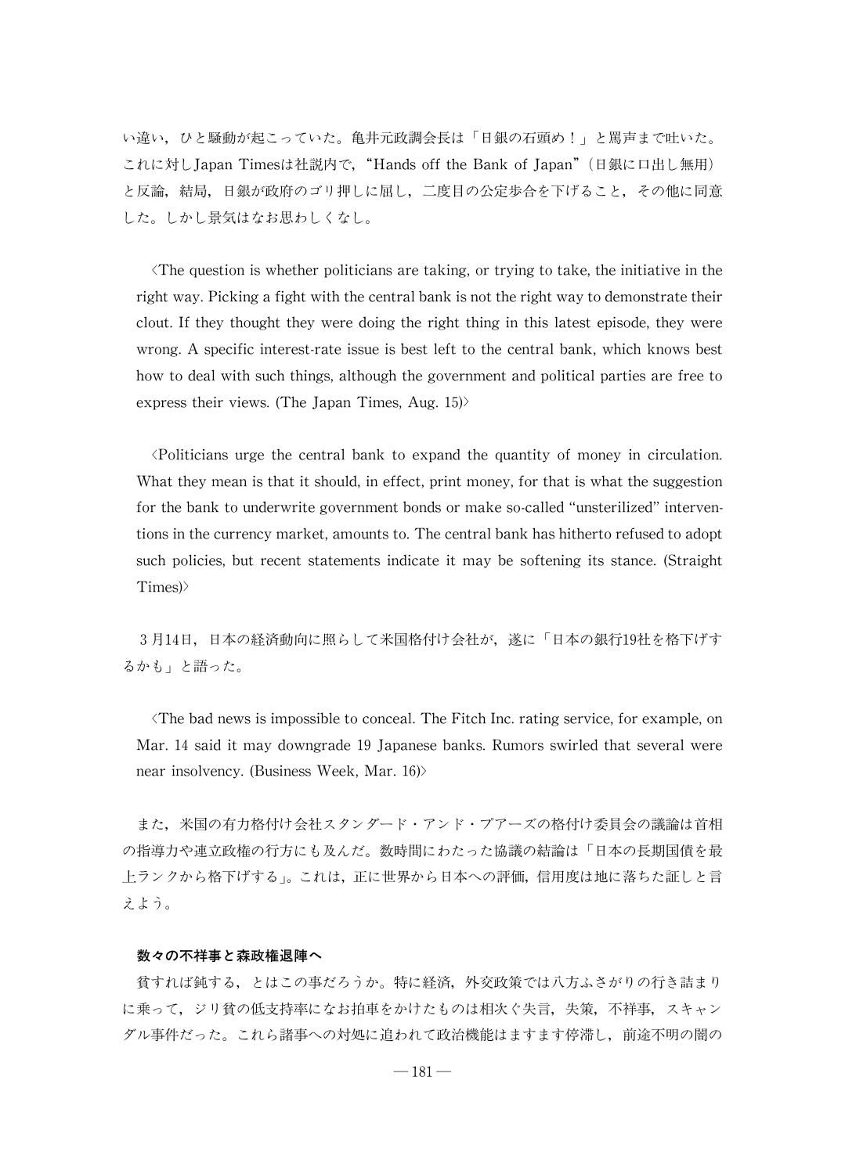い違い、ひと騒動が起こっていた。亀井元政調会長は「日銀の石頭め!」と罵声まで吐いた。 これに対しJapan Timesは社説内で,"Hands off the Bank of Japan"(日銀に口出し無用) と反論,結局,日銀が政府のゴリ押しに屈し,二度目の公定歩合を下げること,その他に同意 した。しかし景気はなお思わしくなし。

 $\Diamond$ The question is whether politicians are taking, or trying to take, the initiative in the right way. Picking a fight with the central bank is not the right way to demonstrate their clout. If they thought theywere doing the right thing in this latest episode, they were wrong. A specific interest-rate issue is best left to the central bank, which knows best how to deal with such things, although the government and political parties are free to express their views. (The Japan Times, Aug.  $15$ )

씗Politicians urge the central bank to expand the quantity of money in circulation. What they mean is that it should, in effect, print money, for that is what the suggestion for the bank to underwrite government bonds or make so-called "unsterilized" interventions in the currency market, amounts to. The central bank has hitherto refused to adopt such policies, but recent statements indicate it may be softening its stance. (Straight Times)>

3月14日,日本の経済動向に照らして米国格付け会社が、遂に「日本の銀行19社を格下げす るかも」と語った。

 $\Diamond$ The bad news is impossible to conceal. The Fitch Inc. rating service, for example, on Mar. 14 said it may downgrade 19 Japanese banks. Rumors swirled that several were near insolvency. (Business Week, Mar.  $16$ )

また,米国の有力格付け会社スタンダード・アンド・プアーズの格付け委員会の議論は首相 の指導力や連立政権の行方にも及んだ。数時間にわたった協議のの結論は「日本の長期国債を最 上ランクから格下げする」。これは、正に世界から日本への評価,信用度は地に落ちた証しと言 えよう。

### 数々の不祥事と森政権退陣へ

貧すれば鈍する,とはこの事だろうか。特に経済,外交政策では八方ふさがりの行き詰まり に乗って,ジリ貧の低支持率になお拍車をかけたものは相次ぐ失言,失策,不祥事,スキャン ダル事件だった。これら諸事への対処に追われて政治機能はますます停滞し,前途不明の闇の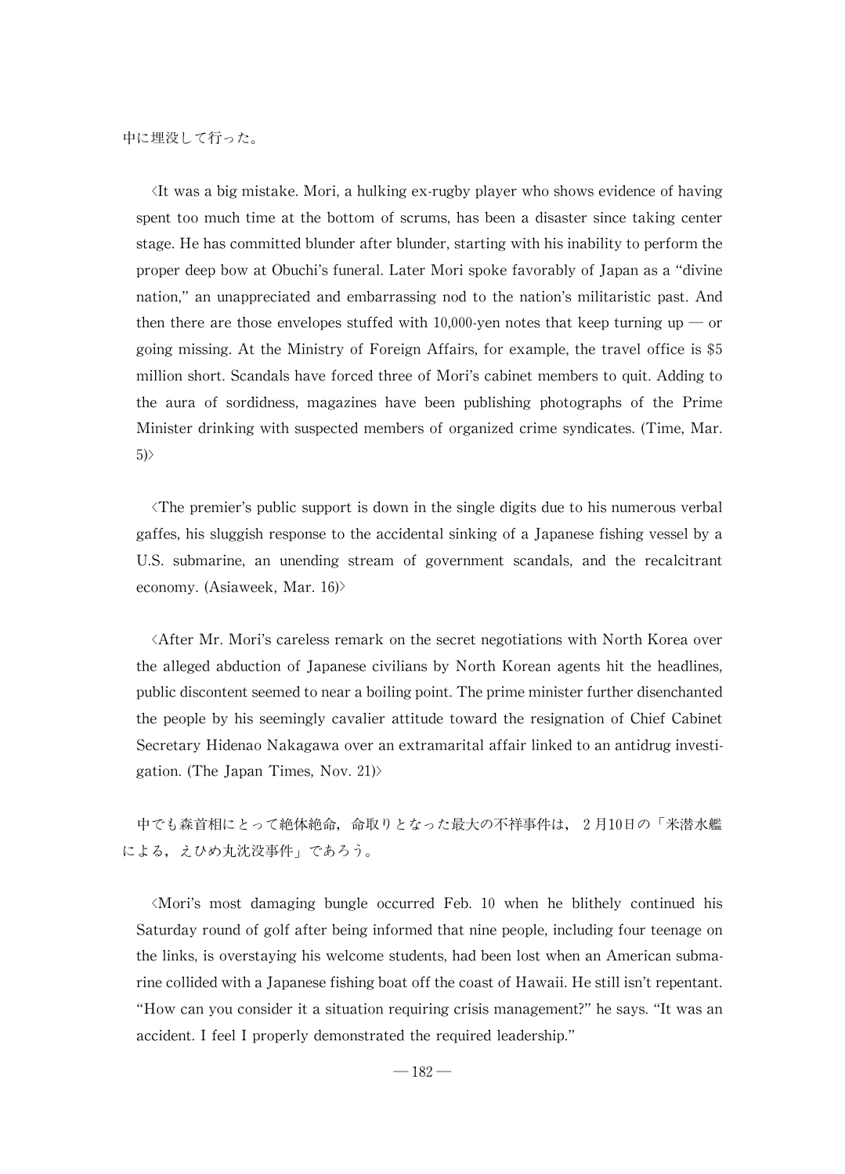It was a big mistake. Mori, a hulking ex-rugby player who shows evidence of having spent too much time at the bottom of scrums, has been a disaster since taking center stage. He has committed blunder after blunder, starting with his inability to perform the proper deep bow at Obuchi's funeral.Later Mori spoke favorablyofJapan as a "divine nation,"an unappreciated and embarrassing nod to the nation's militaristic past. And then there are those envelopes stuffed with 10,000-yen notes that keep turning up — or going missing. At the Ministry of Foreign Affairs, for example, the travel office is \$5 million short. Scandals have forced three of Mori's cabinet members to quit. Adding to the aura of sordidness, magazines have been publishing photographs of the Prime Minister drinking with suspected members of organized crime syndicates. (Time, Mar. 5)>

씗The premier's public support is down in the single digits due to his numerous verbal gaffes, his sluggish response to the accidental sinking of a Japanese fishing vessel by a U.S. submarine, an unending stream of government scandals, and the recalcitrant economy. (Asiaweek, Mar. 16)>

씗After Mr.Mori's careless remark on the secret negotiations with North Korea over the alleged abduction of Japanese civilians by North Korean agents hit the headlines, public discontent seemed to near a boiling point. The prime minister further disenchanted the people by his seemingly cavalier attitude toward the resignation of Chief Cabinet SecretaryHidenao Nakagawa over an extramaritalaffair linked to an antidrug investigation. (The Japan Times, Nov. 21)>

中でも森首相にとって絶体絶命,命取りとなった最大の不祥事件は、2月10日の「米潜水艦 による、えひめ丸沈没事件」であろう。

씗Mori's most damaging bungle occurred Feb. 10 when he blithely continued his Saturday round of golf after being informed that nine people, including four teenage on the links, is overstaying his welcome students, had been lost when an American submarine collided with a Japanese fishing boat off the coast of Hawaii. He still isn't repentant. "How can you consider it a situation requiring crisis management?" he says. "It was an accident. I feel I properly demonstrated the required leadership."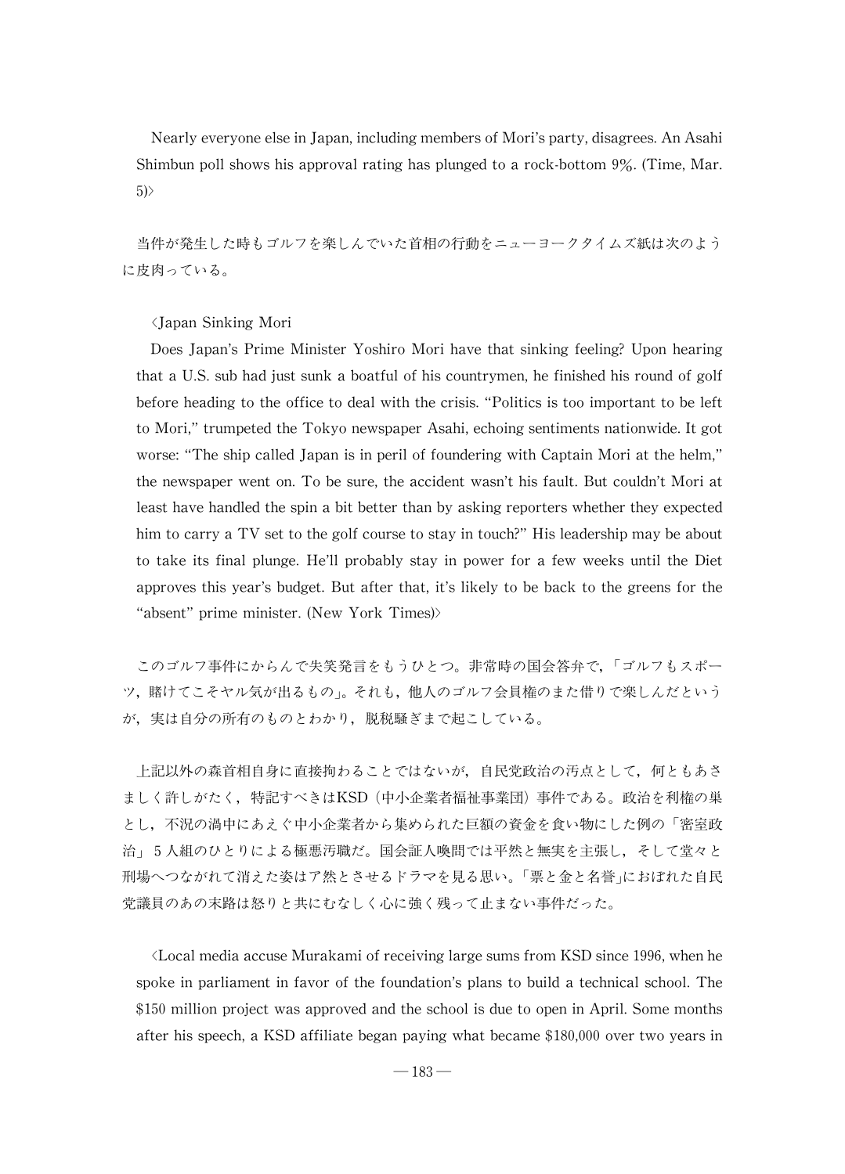Nearly everyone else in Japan, including members of Mori's party, disagrees. An Asahi Shimbun poll shows his approval rating has plunged to a rock-bottom  $9\%$ . (Time, Mar. 5)>

当件が発生した時もゴルフを楽しんでいた首相の行動をニューヨークタイムズ紙は次のよう に皮肉っている。

씗Japan Sinking Mori

Does Japan's Prime Minister Yoshiro Mori have that sinking feeling? Upon hearing that a U.S. sub had just sunk a boatful of his countrymen, he finished his round of golf before heading to the office to deal with the crisis."Politics is too important to be left to Mori,"trumpeted the Tokyo newspaper Asahi,echoing sentiments nationwide.It got worse: "The ship called Japan is in peril of foundering with Captain Mori at the helm," the newspaper went on. To be sure, the accident wasn't his fault. But couldn't Mori at least have handled the spin a bit better than by asking reporters whether they expected him to carry a TV set to the golf course to stay in touch?" His leadership may be about to take its final plunge. He'll probably stay in power for a few weeks until the Diet approves this year's budget. But after that, it's likely to be back to the greens for the "absent" prime minister. (New York Times)>

このゴルフ事件にからんで失笑発言をもうひとつ。非常時の国会答弁で,「ゴルフもスポー ツ,賭けてこそヤル気が出るもの씕。それも,他人のゴルフ会員権のまた借りで楽しんだという が,実は自分の所有のものとわかり,脱税騒ぎまで起こしている。

上記以外の森首相自身に直接拘わることではないが,自民党政治の汚点として,何ともあさ ましく許しがたく,特記すべきはKSD(中小企業者福祉事業団)事件である。政治を利権の巣 とし、不況の渦中にあえぐ中小企業者から集められた巨額の資金を食い物にした例の「密室政 治」5人組のひとりによる極悪汚職だ。国会証人喚問では平然と無実を主張し、そして堂々と 刑場へつながれて消えた姿はア然とさせるドラマを見る思い。「票と金と名誉」におぼれた自民 党議員のあの末路は怒りと共にむなしく心に強く残って止まない事件だった。

씗Localmedia accuseMurakamiofreceiving largesumsfrom KSD since1996,whenhe spoke in parliament in favor of the foundation's plans to build a technical school. The \$150 million project was approved and the school is due to open in April. Some months after his speech,a KSD affiliate began paying what became \$180,000 over two years in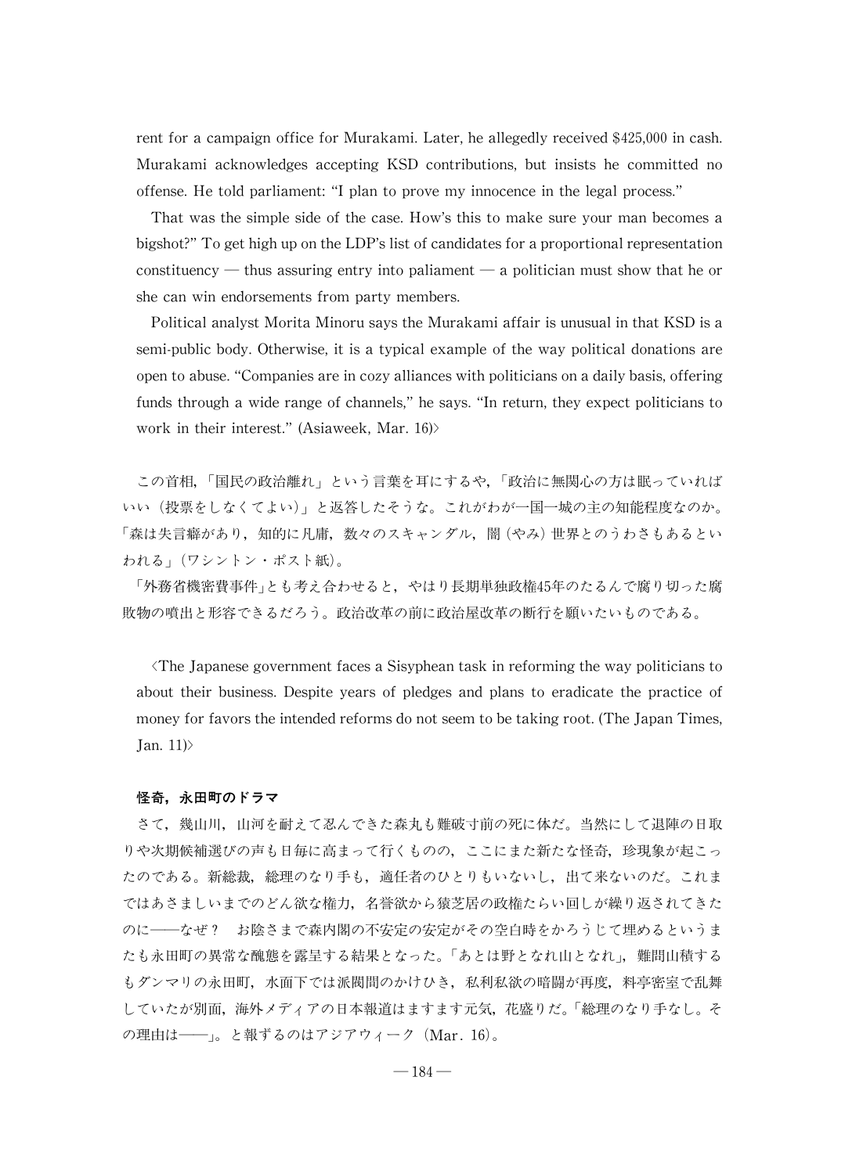rent for a campaign office for Murakami. Later, he allegedly received \$425,000 in cash. Murakami acknowledges accepting KSD contributions, but insists he committed no offense.He told parliament:"I plan to prove my innocence in the legal process."

That was the simple side of the case.How's this to make sure your man becomes a bigshot?" To get high up on the LDP's list of candidates for a proportional representation constituency  $-$  thus assuring entry into paliament  $-$  a politician must show that he or she can win endorsements from party members.

Political analyst Morita Minoru says the Murakami affair is unusual in that KSD is a semi-public body. Otherwise, it is a typical example of the way political donations are open to abuse. "Companies are in cozy alliances with politicians on a daily basis, offering funds through a wide range of channels," he says. "In return, they expect politicians to work in their interest." (Asiaweek, Mar. 16)>

この首相,「国民の政治離れ」という言葉を耳にするや,「政治に無関心の方は眠っていれば いい(投票をしなくてよい)」と返答したそうな。これがわが一国一城の主の知能程度なのか。 「森は失言癖があり,知的に凡庸,数々のスキャンダル,闇(やみ)世界とのうわさもあるとい われる씕(ワシントン・ポスト紙)。

「外務省機密費事件」とも考え合わせると,やはり長期単独政権45年のたるんで腐り切った腐 敗物の噴出と形容できるだろう。政治改革の前に政治屋改革の断行を願いたいものである。

 $\langle$ The Japanese government faces a Sisyphean task in reforming the way politicians to about their business. Despite years of pledges and plans to eradicate the practice of money for favors the intended reforms do not seem to be taking root. (The Japan Times, Jan.  $11$ 

### 怪奇,永田町のドラマ

さて,幾山川,山河を耐えて忍んできた森丸も難破寸前の死に体だ。当然にして退陣の日取 りや次期候補選びの声も日毎に高まって行くものの,ここにまた新たな怪奇,珍現象が起こっ たのである。新総裁,総理のなり手も,適任者のひとりもいないし,出て来ないのだ。これま ではあさましいまでのどん欲な権力,名誉欲から猿芝居の政権たらい回しが繰り返されてきた のに––なぜ? お陰さまで森内閣の不安定の安定がその空白時をかろうじて埋めるというま たも永田町の異常な醜態を露呈する結果となった。「あとは野となれ山となれ」,難問山積する もダンマリの永田町,水面下では派閥間のかけひき,私利私欲の暗闘が再度,料亭密室で乱舞 していたが別面,海外メディアの日本報道はますます元気,花盛りだ。「総理のなり手なし。そ の理由は––––
」。と報ずるのはアジアウィーク (Mar. 16)。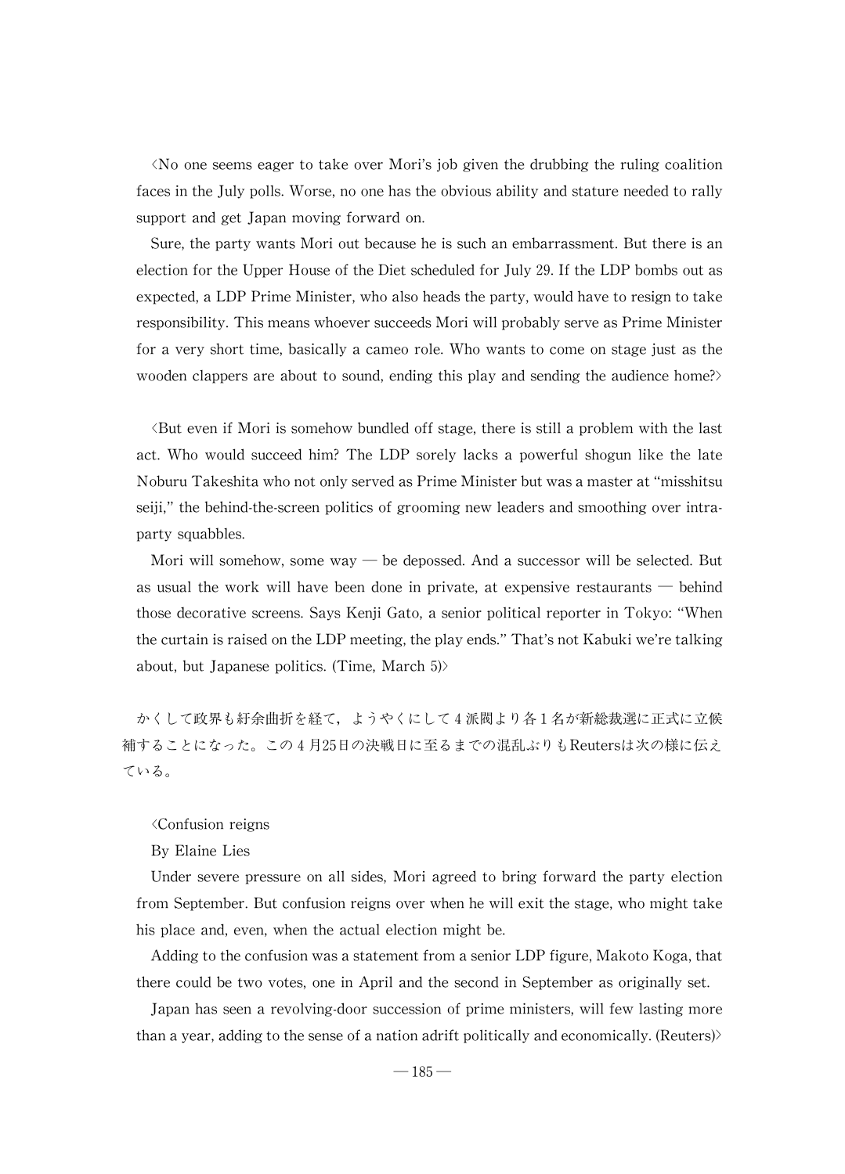씗No one seems eager to take over Mori's job given the drubbing the ruling coalition faces in the July polls. Worse, no one has the obvious ability and stature needed to rally support and get Japan moving forward on.

Sure, the party wants Mori out because he is such an embarrassment. But there is an election for the Upper House of the Diet scheduled for July 29. If the LDP bombs out as expected, a LDP Prime Minister, who also heads the party, would have to resign to take responsibility. This means whoever succeeds Mori will probably serve as Prime Minister for a very short time, basically a cameo role. Who wants to come on stage just as the wooden clappers are about to sound, ending this play and sending the audience home?

 $\forall$ But even if Mori is somehow bundled off stage, there is still a problem with the last act. Who would succeed him? The LDP sorely lacks a powerful shogun like the late NoburuTakeshitawhonot onlyservedasPrimeMinisterbutwasamasterat"misshitsu seiji," the behind-the-screen politics of grooming new leaders and smoothing over intraparty squabbles.

Mori will somehow, some way — be depossed. And a successor will be selected. But as usual the work will have been done in private, at expensive restaurants  $-$  behind those decorative screens. Says Kenji Gato, a senior political reporter in Tokyo: "When the curtain is raised on the LDP meeting, the play ends." That's not Kabuki we're talking about, but Japanese politics. (Time, March  $5$ )>

かくして政界も紆余曲折を経て,ようやくにして4派閥より各1名が新総裁選に正式に立候 補することになった。この4月25日の決戦日に至るまでの混乱ぶりもReutersは次の様に伝え ている。

### 씗Confusion reigns

By Elaine Lies

Under severe pressure on all sides, Mori agreed to bring forward the party election from September. But confusion reigns over when he will exit the stage, who might take his place and, even, when the actual election might be.

Adding to the confusion was a statement from a senior LDP figure, Makoto Koga, that there could be two votes, one in April and the second in September as originally set.

Japan has seen a revolving-door succession of prime ministers, will few lasting more than a year, adding to the sense of a nation adrift politically and economically. (Reuters)>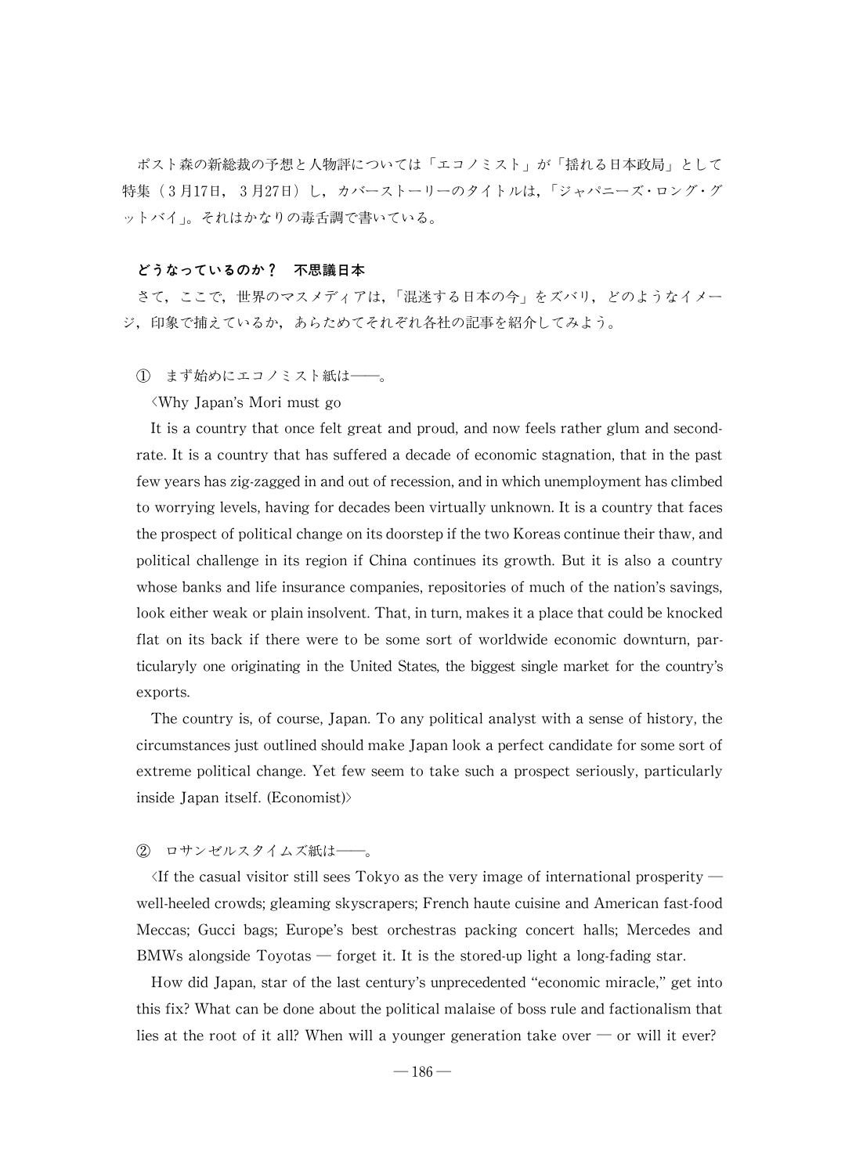ポスト森の新総裁の予想と人物評については「エコノミスト」が「揺れる日本政局」として 特集(3月17日, 3月27日)し,カバーストーリーのタイトルは,「ジャパニーズ・ロング・グ ットバイ씕。それはかなりの毒舌調で書いている。

## どうなっているのか? 不思議日本

さて、ここで、世界のマスメディアは、「混迷する日本の今」をズバリ、どのようなイメー ジ,印象で捕えているか,あらためてそれぞれ各社の記事を紹介してみよう。

1 まず始めにエコノミスト紙は–––。

씗Why Japan's Mori must go

It is a country that once felt great and proud, and now feels rather glum and secondrate. It is a country that has suffered a decade of economic stagnation, that in the past fewyearshaszig-zaggedinandoutofrecession,andinwhichunemploymenthasclimbed to worrying levels, having for decades been virtually unknown. It is a country that faces the prospect of political change on its doorstep if the two Koreas continue their thaw, and political challenge in its region if China continues its growth. But it is also a country whose banks and life insurance companies, repositories of much of the nation's savings, look either weak or plain insolvent. That, in turn, makes it a place that could be knocked flat on its back if there were to be some sort of worldwide economic downturn, particularyly one originating in the United States, the biggest single market for the country's exports.

The country is, of course, Japan. To any political analyst with a sense of history, the circumstances just outlined should make Japan look a perfect candidate for some sort of extreme political change. Yet few seem to take such a prospect seriously, particularly inside Japan itself.(Economist)>

# ② ロサンゼルスタイムズ紙は–––。

If the casual visitor still sees Tokyo as the very image of international prosperity well-heeled crowds; gleaming skyscrapers; French haute cuisine and American fast-food Meccas; Gucci bags; Europe's best orchestras packing concert halls; Mercedes and BMWs alongside Toyotas  $-$  forget it. It is the stored-up light a long-fading star.

How did Japan, star of the last century's unprecedented "economic miracle," get into this fix? What can be done about the political malaise of boss rule and factionalism that lies at the root of it all? When will a younger generation take over  $\sim$  or will it ever?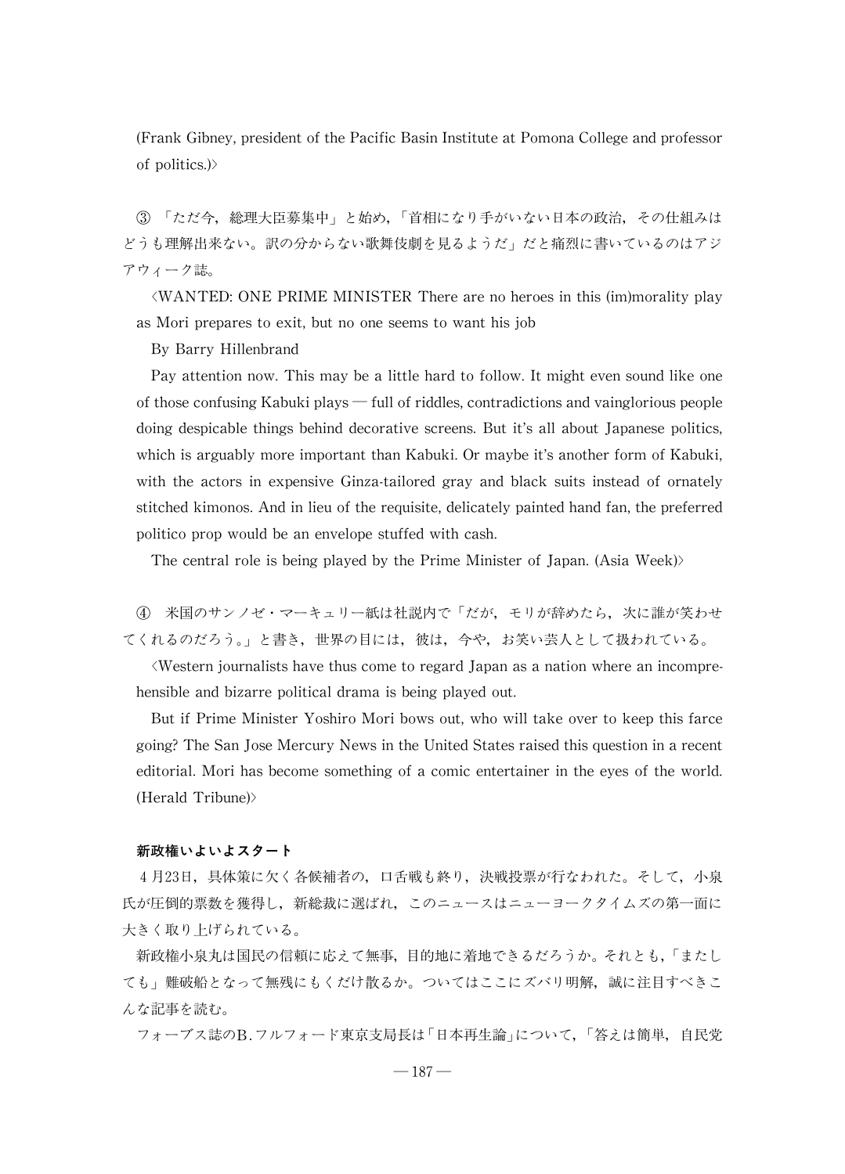(Frank Gibney, president of the Pacific Basin Institute at Pomona College and professor of politics.)>

3 「ただ今,総理大臣募集中」と始め、「首相になり手がいない日本の政治,その仕組みは どうも理解出来ない。訳の分からない歌舞伎劇を見るようだ」だと痛烈に書いているのはアジ アウィーク誌。

씗WANTED:ONE PRIME MINISTER There are no heroes in this (im)moralityplay as Mori prepares to exit, but no one seems to want his job

By Barry Hillenbrand

Pay attention now. This may be a little hard to follow. It might even sound like one of those confusing Kabuki plays  $-$  full of riddles, contradictions and vainglorious people doing despicable things behind decorative screens. But it's all about Japanese politics, which is arguably more important than Kabuki. Or maybe it's another form of Kabuki, with the actors in expensive Ginza-tailored gray and black suits instead of ornately stitched kimonos. And in lieu of the requisite, delicately painted hand fan, the preferred politico prop would be an envelope stuffed with cash.

The central role is being played by the Prime Minister of Japan.(Asia Week)>

(4) 米国のサンノゼ・マーキュリー紙は社説内で「だが、モリが辞めたら、次に誰が笑わせ てくれるのだろう。」と書き、世界の目には、彼は、今や、お笑い芸人として扱われている。

씗Western journalists have thus come to regard Japan as a nation where an incomprehensible and bizarre political drama is being played out.

But if Prime Minister Yoshiro Mori bows out, who will take over to keep this farce going? The San Jose Mercury News in the United States raised this question in a recent editorial. Mori has become something of a comic entertainer in the eyes of the world. (Herald Tribune)>

# 新政権いよいよスタート

4月23日,具体策に欠く各候補者の,口舌戦も終り,決戦投票が行なわれた。そして,小泉 氏が圧倒的票数を獲得し,新総裁に選ばれ,このニュースはニューヨークタイムズの第一面に 大きく取り上げられている。

新政権小泉丸は国民の信頼に応えて無事,目的地に着地できるだろうか。それとも,「またし ても」難破船となって無残にもくだけ散るか。ついてはここにズバリ明解,誠に注目すべきこ んな記事を読む。

フォーブス誌のB.フルフォード東京支局長は「日本再生論」について、「答えは簡単,自民党